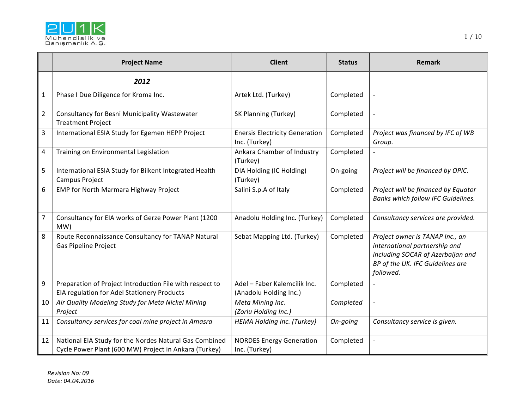

|                | <b>Project Name</b>                                                                                             | <b>Client</b>                                          | <b>Status</b> | <b>Remark</b>                                                                                                                                          |
|----------------|-----------------------------------------------------------------------------------------------------------------|--------------------------------------------------------|---------------|--------------------------------------------------------------------------------------------------------------------------------------------------------|
|                | 2012                                                                                                            |                                                        |               |                                                                                                                                                        |
| $\mathbf{1}$   | Phase I Due Diligence for Kroma Inc.                                                                            | Artek Ltd. (Turkey)                                    | Completed     | $\blacksquare$                                                                                                                                         |
| $\overline{2}$ | Consultancy for Besni Municipality Wastewater<br><b>Treatment Project</b>                                       | SK Planning (Turkey)                                   | Completed     |                                                                                                                                                        |
| 3              | International ESIA Study for Egemen HEPP Project                                                                | <b>Enersis Electricity Generation</b><br>Inc. (Turkey) | Completed     | Project was financed by IFC of WB<br>Group.                                                                                                            |
| $\overline{4}$ | Training on Environmental Legislation                                                                           | Ankara Chamber of Industry<br>(Turkey)                 | Completed     |                                                                                                                                                        |
| 5              | International ESIA Study for Bilkent Integrated Health<br>Campus Project                                        | DIA Holding (IC Holding)<br>(Turkey)                   | On-going      | Project will be financed by OPIC.                                                                                                                      |
| 6              | <b>EMP for North Marmara Highway Project</b>                                                                    | Salini S.p.A of Italy                                  | Completed     | Project will be financed by Equator<br>Banks which follow IFC Guidelines.                                                                              |
| $\overline{7}$ | Consultancy for EIA works of Gerze Power Plant (1200<br>MW)                                                     | Anadolu Holding Inc. (Turkey)                          | Completed     | Consultancy services are provided.                                                                                                                     |
| 8              | Route Reconnaissance Consultancy for TANAP Natural<br><b>Gas Pipeline Project</b>                               | Sebat Mapping Ltd. (Turkey)                            | Completed     | Project owner is TANAP Inc., an<br>international partnership and<br>including SOCAR of Azerbaijan and<br>BP of the UK. IFC Guidelines are<br>followed. |
| 9              | Preparation of Project Introduction File with respect to<br>EIA regulation for Adel Stationery Products         | Adel - Faber Kalemcilik Inc.<br>(Anadolu Holding Inc.) | Completed     |                                                                                                                                                        |
| 10             | Air Quality Modeling Study for Meta Nickel Mining<br>Project                                                    | Meta Mining Inc.<br>(Zorlu Holding Inc.)               | Completed     | $\blacksquare$                                                                                                                                         |
| 11             | Consultancy services for coal mine project in Amasra                                                            | HEMA Holding Inc. (Turkey)                             | On-going      | Consultancy service is given.                                                                                                                          |
| 12             | National EIA Study for the Nordes Natural Gas Combined<br>Cycle Power Plant (600 MW) Project in Ankara (Turkey) | <b>NORDES Energy Generation</b><br>Inc. (Turkey)       | Completed     |                                                                                                                                                        |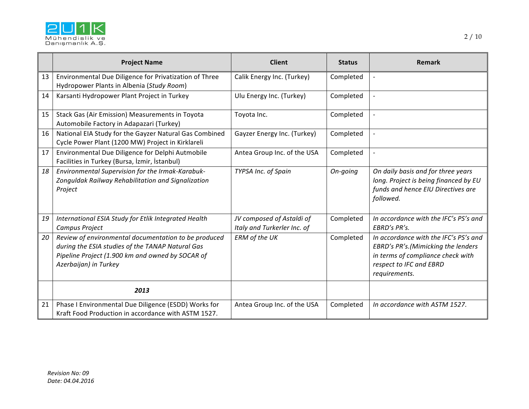

|    | <b>Project Name</b>                                                                                                                                                                   | <b>Client</b>                                            | <b>Status</b> | Remark                                                                                                                                                       |
|----|---------------------------------------------------------------------------------------------------------------------------------------------------------------------------------------|----------------------------------------------------------|---------------|--------------------------------------------------------------------------------------------------------------------------------------------------------------|
| 13 | Environmental Due Diligence for Privatization of Three<br>Hydropower Plants in Albenia (Study Room)                                                                                   | Calik Energy Inc. (Turkey)                               | Completed     | $\overline{a}$                                                                                                                                               |
| 14 | Karsanti Hydropower Plant Project in Turkey                                                                                                                                           | Ulu Energy Inc. (Turkey)                                 | Completed     |                                                                                                                                                              |
| 15 | Stack Gas (Air Emission) Measurements in Toyota<br>Automobile Factory in Adapazari (Turkey)                                                                                           | Toyota Inc.                                              | Completed     | $\overline{a}$                                                                                                                                               |
| 16 | National EIA Study for the Gayzer Natural Gas Combined<br>Cycle Power Plant (1200 MW) Project in Kirklareli                                                                           | Gayzer Energy Inc. (Turkey)                              | Completed     | $\overline{a}$                                                                                                                                               |
| 17 | Environmental Due Diligence for Delphi Autmobile<br>Facilities in Turkey (Bursa, İzmir, İstanbul)                                                                                     | Antea Group Inc. of the USA                              | Completed     | $\overline{\phantom{a}}$                                                                                                                                     |
| 18 | Environmental Supervision for the Irmak-Karabuk-<br>Zonguldak Railway Rehabilitation and Signalization<br>Project                                                                     | TYPSA Inc. of Spain                                      | On-going      | On daily basis and for three years<br>long. Project is being financed by EU<br>funds and hence EIU Directives are<br>followed.                               |
| 19 | International ESIA Study for Etlik Integrated Health<br>Campus Project                                                                                                                | JV composed of Astaldi of<br>Italy and Turkerler Inc. of | Completed     | In accordance with the IFC's PS's and<br>EBRD's PR's.                                                                                                        |
| 20 | Review of environmental documentation to be produced<br>during the ESIA studies of the TANAP Natural Gas<br>Pipeline Project (1.900 km and owned by SOCAR of<br>Azerbaijan) in Turkey | ERM of the UK                                            | Completed     | In accordance with the IFC's PS's and<br>EBRD's PR's.(Mimicking the lenders<br>in terms of compliance check with<br>respect to IFC and EBRD<br>requirements. |
|    | 2013                                                                                                                                                                                  |                                                          |               |                                                                                                                                                              |
| 21 | Phase I Environmental Due Diligence (ESDD) Works for<br>Kraft Food Production in accordance with ASTM 1527.                                                                           | Antea Group Inc. of the USA                              | Completed     | In accordance with ASTM 1527.                                                                                                                                |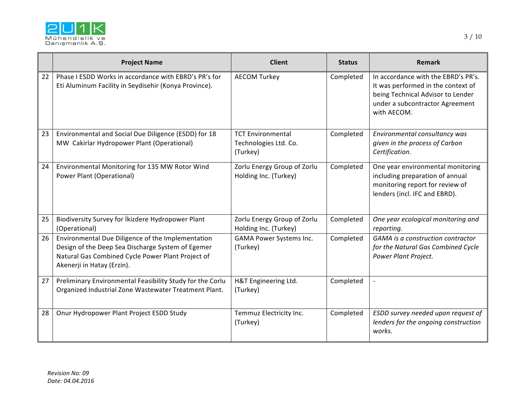

|    | <b>Project Name</b>                                                                                                                                                                       | <b>Client</b>                                                 | <b>Status</b> | Remark                                                                                                                                                           |
|----|-------------------------------------------------------------------------------------------------------------------------------------------------------------------------------------------|---------------------------------------------------------------|---------------|------------------------------------------------------------------------------------------------------------------------------------------------------------------|
| 22 | Phase I ESDD Works in accordance with EBRD's PR's for<br>Eti Aluminum Facility in Seydisehir (Konya Province).                                                                            | <b>AECOM Turkey</b>                                           | Completed     | In accordance with the EBRD's PR's.<br>It was performed in the context of<br>being Technical Advisor to Lender<br>under a subcontractor Agreement<br>with AECOM. |
| 23 | Environmental and Social Due Diligence (ESDD) for 18<br>MW Cakirlar Hydropower Plant (Operational)                                                                                        | <b>TCT Environmental</b><br>Technologies Ltd. Co.<br>(Turkey) | Completed     | Environmental consultancy was<br>given in the process of Carbon<br>Certification.                                                                                |
| 24 | Environmental Monitoring for 135 MW Rotor Wind<br>Power Plant (Operational)                                                                                                               | Zorlu Energy Group of Zorlu<br>Holding Inc. (Turkey)          | Completed     | One year environmental monitoring<br>including preparation of annual<br>monitoring report for review of<br>lenders (incl. IFC and EBRD).                         |
| 25 | Biodiversity Survey for İkizdere Hydropower Plant<br>(Operational)                                                                                                                        | Zorlu Energy Group of Zorlu<br>Holding Inc. (Turkey)          | Completed     | One year ecological monitoring and<br>reporting.                                                                                                                 |
| 26 | Environmental Due Diligence of the Implementation<br>Design of the Deep Sea Discharge System of Egemer<br>Natural Gas Combined Cycle Power Plant Project of<br>Akenerji in Hatay (Erzin). | GAMA Power Systems Inc.<br>(Turkey)                           | Completed     | GAMA is a construction contractor<br>for the Natural Gas Combined Cycle<br>Power Plant Project.                                                                  |
| 27 | Preliminary Environmental Feasibility Study for the Corlu<br>Organized Industrial Zone Wastewater Treatment Plant.                                                                        | H&T Engineering Ltd.<br>(Turkey)                              | Completed     |                                                                                                                                                                  |
| 28 | Onur Hydropower Plant Project ESDD Study                                                                                                                                                  | Temmuz Electricity Inc.<br>(Turkey)                           | Completed     | ESDD survey needed upon request of<br>lenders for the ongoing construction<br>works.                                                                             |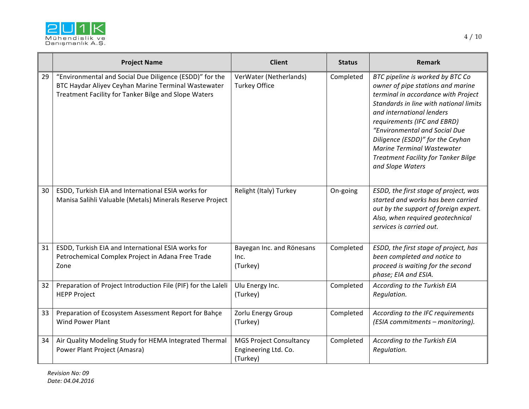

|    | <b>Project Name</b>                                                                                                                                                    | <b>Client</b>                                                      | <b>Status</b> | <b>Remark</b>                                                                                                                                                                                                                                                                                                                                                                                  |
|----|------------------------------------------------------------------------------------------------------------------------------------------------------------------------|--------------------------------------------------------------------|---------------|------------------------------------------------------------------------------------------------------------------------------------------------------------------------------------------------------------------------------------------------------------------------------------------------------------------------------------------------------------------------------------------------|
| 29 | "Environmental and Social Due Diligence (ESDD)" for the<br>BTC Haydar Aliyev Ceyhan Marine Terminal Wastewater<br>Treatment Facility for Tanker Bilge and Slope Waters | VerWater (Netherlands)<br><b>Turkey Office</b>                     | Completed     | BTC pipeline is worked by BTC Co<br>owner of pipe stations and marine<br>terminal in accordance with Project<br>Standards in line with national limits<br>and international lenders<br>requirements (IFC and EBRD)<br>"Environmental and Social Due<br>Diligence (ESDD)" for the Ceyhan<br><b>Marine Terminal Wastewater</b><br><b>Treatment Facility for Tanker Bilge</b><br>and Slope Waters |
| 30 | ESDD, Turkish EIA and International ESIA works for<br>Manisa Salihli Valuable (Metals) Minerals Reserve Project                                                        | Relight (Italy) Turkey                                             | On-going      | ESDD, the first stage of project, was<br>started and works has been carried<br>out by the support of foreign expert.<br>Also, when required geotechnical<br>services is carried out.                                                                                                                                                                                                           |
| 31 | ESDD, Turkish EIA and International ESIA works for<br>Petrochemical Complex Project in Adana Free Trade<br>Zone                                                        | Bayegan Inc. and Rönesans<br>Inc.<br>(Turkey)                      | Completed     | ESDD, the first stage of project, has<br>been completed and notice to<br>proceed is waiting for the second<br>phase; EIA and ESIA.                                                                                                                                                                                                                                                             |
| 32 | Preparation of Project Introduction File (PIF) for the Laleli<br><b>HEPP Project</b>                                                                                   | Ulu Energy Inc.<br>(Turkey)                                        | Completed     | According to the Turkish EIA<br>Regulation.                                                                                                                                                                                                                                                                                                                                                    |
| 33 | Preparation of Ecosystem Assessment Report for Bahçe<br><b>Wind Power Plant</b>                                                                                        | Zorlu Energy Group<br>(Turkey)                                     | Completed     | According to the IFC requirements<br>(ESIA commitments - monitoring).                                                                                                                                                                                                                                                                                                                          |
| 34 | Air Quality Modeling Study for HEMA Integrated Thermal<br>Power Plant Project (Amasra)                                                                                 | <b>MGS Project Consultancy</b><br>Engineering Ltd. Co.<br>(Turkey) | Completed     | According to the Turkish EIA<br>Regulation.                                                                                                                                                                                                                                                                                                                                                    |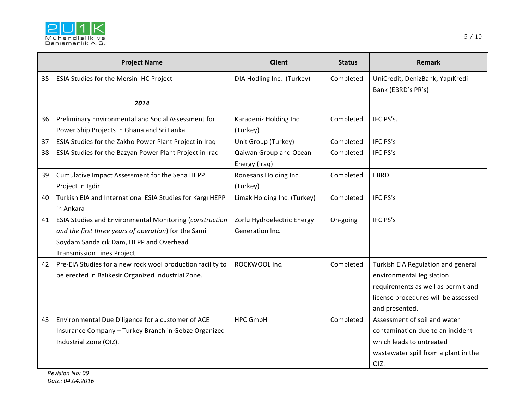

|    | <b>Project Name</b>                                                                                                                                                                       | <b>Client</b>                                 | <b>Status</b> | <b>Remark</b>                                                                                                                                                  |
|----|-------------------------------------------------------------------------------------------------------------------------------------------------------------------------------------------|-----------------------------------------------|---------------|----------------------------------------------------------------------------------------------------------------------------------------------------------------|
| 35 | ESIA Studies for the Mersin IHC Project                                                                                                                                                   | DIA Hodling Inc. (Turkey)                     | Completed     | UniCredit, DenizBank, YapıKredi<br>Bank (EBRD's PR's)                                                                                                          |
|    | 2014                                                                                                                                                                                      |                                               |               |                                                                                                                                                                |
| 36 | Preliminary Environmental and Social Assessment for<br>Power Ship Projects in Ghana and Sri Lanka                                                                                         | Karadeniz Holding Inc.<br>(Turkey)            | Completed     | IFC PS's.                                                                                                                                                      |
| 37 | ESIA Studies for the Zakho Power Plant Project in Iraq                                                                                                                                    | Unit Group (Turkey)                           | Completed     | IFC PS's                                                                                                                                                       |
| 38 | ESIA Studies for the Bazyan Power Plant Project in Iraq                                                                                                                                   | Qaiwan Group and Ocean<br>Energy (Iraq)       | Completed     | IFC PS's                                                                                                                                                       |
| 39 | Cumulative Impact Assessment for the Sena HEPP<br>Project in Igdir                                                                                                                        | Ronesans Holding Inc.<br>(Turkey)             | Completed     | <b>EBRD</b>                                                                                                                                                    |
| 40 | Turkish EIA and International ESIA Studies for Kargı HEPP<br>in Ankara                                                                                                                    | Limak Holding Inc. (Turkey)                   | Completed     | IFC PS's                                                                                                                                                       |
| 41 | ESIA Studies and Environmental Monitoring (construction<br>and the first three years of operation) for the Sami<br>Soydam Sandalcık Dam, HEPP and Overhead<br>Transmission Lines Project. | Zorlu Hydroelectric Energy<br>Generation Inc. | On-going      | IFC PS's                                                                                                                                                       |
| 42 | Pre-EIA Studies for a new rock wool production facility to<br>be erected in Balıkesir Organized Industrial Zone.                                                                          | ROCKWOOL Inc.                                 | Completed     | Turkish EIA Regulation and general<br>environmental legislation<br>requirements as well as permit and<br>license procedures will be assessed<br>and presented. |
| 43 | Environmental Due Diligence for a customer of ACE<br>Insurance Company - Turkey Branch in Gebze Organized<br>Industrial Zone (OIZ).                                                       | <b>HPC GmbH</b>                               | Completed     | Assessment of soil and water<br>contamination due to an incident<br>which leads to untreated<br>wastewater spill from a plant in the<br>OIZ.                   |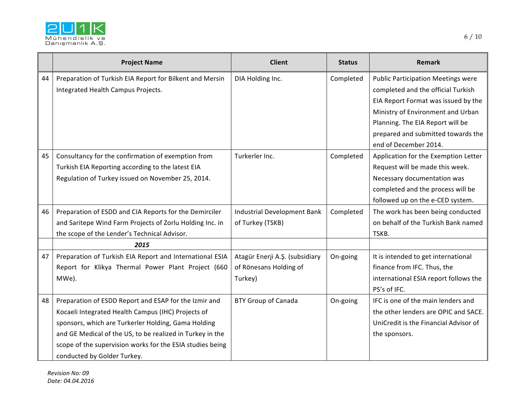

|    | <b>Project Name</b>                                                                                                                                                                                                                                                                                                         | <b>Client</b>                                                       | <b>Status</b> | Remark                                                                                                                                                                                          |
|----|-----------------------------------------------------------------------------------------------------------------------------------------------------------------------------------------------------------------------------------------------------------------------------------------------------------------------------|---------------------------------------------------------------------|---------------|-------------------------------------------------------------------------------------------------------------------------------------------------------------------------------------------------|
| 44 | Preparation of Turkish EIA Report for Bilkent and Mersin<br>Integrated Health Campus Projects.                                                                                                                                                                                                                              | DIA Holding Inc.                                                    | Completed     | <b>Public Participation Meetings were</b><br>completed and the official Turkish<br>EIA Report Format was issued by the<br>Ministry of Environment and Urban<br>Planning. The EIA Report will be |
|    |                                                                                                                                                                                                                                                                                                                             |                                                                     |               | prepared and submitted towards the<br>end of December 2014.                                                                                                                                     |
| 45 | Consultancy for the confirmation of exemption from<br>Turkish EIA Reporting according to the latest EIA<br>Regulation of Turkey issued on November 25, 2014.                                                                                                                                                                | Turkerler Inc.                                                      | Completed     | Application for the Exemption Letter<br>Request will be made this week.<br>Necessary documentation was<br>completed and the process will be<br>followed up on the e-CED system.                 |
| 46 | Preparation of ESDD and CIA Reports for the Demirciler<br>and Saritepe Wind Farm Projects of Zorlu Holding Inc. in<br>the scope of the Lender's Technical Advisor.                                                                                                                                                          | Industrial Development Bank<br>of Turkey (TSKB)                     | Completed     | The work has been being conducted<br>on behalf of the Turkish Bank named<br>TSKB.                                                                                                               |
|    | 2015                                                                                                                                                                                                                                                                                                                        |                                                                     |               |                                                                                                                                                                                                 |
| 47 | Preparation of Turkish EIA Report and International ESIA<br>Report for Klikya Thermal Power Plant Project (660<br>MWe).                                                                                                                                                                                                     | Atagür Enerji A.Ş. (subsidiary<br>of Rönesans Holding of<br>Turkey) | On-going      | It is intended to get international<br>finance from IFC. Thus, the<br>international ESIA report follows the<br>PS's of IFC.                                                                     |
| 48 | Preparation of ESDD Report and ESAP for the Izmir and<br>Kocaeli Integrated Health Campus (IHC) Projects of<br>sponsors, which are Turkerler Holding, Gama Holding<br>and GE Medical of the US, to be realized in Turkey in the<br>scope of the supervision works for the ESIA studies being<br>conducted by Golder Turkey. | <b>BTY Group of Canada</b>                                          | On-going      | IFC is one of the main lenders and<br>the other lenders are OPIC and SACE.<br>UniCredit is the Financial Advisor of<br>the sponsors.                                                            |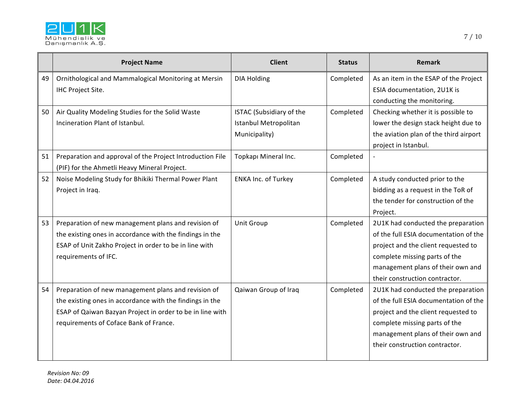

|    | <b>Project Name</b>                                                                                                                                                                                                    | <b>Client</b>                                                             | <b>Status</b> | <b>Remark</b>                                                                                                                                                                                                              |
|----|------------------------------------------------------------------------------------------------------------------------------------------------------------------------------------------------------------------------|---------------------------------------------------------------------------|---------------|----------------------------------------------------------------------------------------------------------------------------------------------------------------------------------------------------------------------------|
| 49 | Ornithological and Mammalogical Monitoring at Mersin<br>IHC Project Site.                                                                                                                                              | <b>DIA Holding</b>                                                        | Completed     | As an item in the ESAP of the Project<br>ESIA documentation, 2U1K is<br>conducting the monitoring.                                                                                                                         |
| 50 | Air Quality Modeling Studies for the Solid Waste<br>Incineration Plant of Istanbul.                                                                                                                                    | <b>ISTAC (Subsidiary of the</b><br>Istanbul Metropolitan<br>Municipality) | Completed     | Checking whether it is possible to<br>lower the design stack height due to<br>the aviation plan of the third airport<br>project in Istanbul.                                                                               |
| 51 | Preparation and approval of the Project Introduction File<br>(PIF) for the Ahmetli Heavy Mineral Project.                                                                                                              | Topkapı Mineral Inc.                                                      | Completed     |                                                                                                                                                                                                                            |
| 52 | Noise Modeling Study for Bhikiki Thermal Power Plant<br>Project in Iraq.                                                                                                                                               | <b>ENKA Inc. of Turkey</b>                                                | Completed     | A study conducted prior to the<br>bidding as a request in the ToR of<br>the tender for construction of the<br>Project.                                                                                                     |
| 53 | Preparation of new management plans and revision of<br>the existing ones in accordance with the findings in the<br>ESAP of Unit Zakho Project in order to be in line with<br>requirements of IFC.                      | <b>Unit Group</b>                                                         | Completed     | 2U1K had conducted the preparation<br>of the full ESIA documentation of the<br>project and the client requested to<br>complete missing parts of the<br>management plans of their own and<br>their construction contractor. |
| 54 | Preparation of new management plans and revision of<br>the existing ones in accordance with the findings in the<br>ESAP of Qaiwan Bazyan Project in order to be in line with<br>requirements of Coface Bank of France. | Qaiwan Group of Iraq                                                      | Completed     | 2U1K had conducted the preparation<br>of the full ESIA documentation of the<br>project and the client requested to<br>complete missing parts of the<br>management plans of their own and<br>their construction contractor. |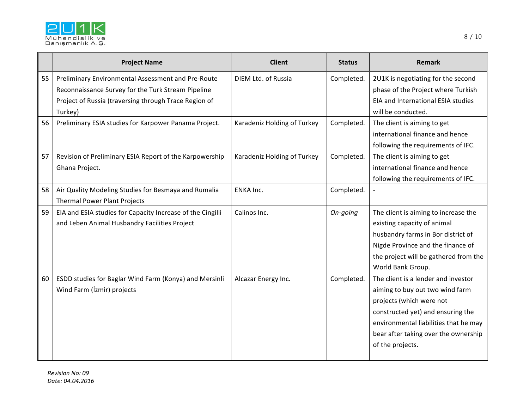

|    | <b>Project Name</b>                                                                                                                                                          | <b>Client</b>               | <b>Status</b> | Remark                                                                                                                                                                                                                                       |
|----|------------------------------------------------------------------------------------------------------------------------------------------------------------------------------|-----------------------------|---------------|----------------------------------------------------------------------------------------------------------------------------------------------------------------------------------------------------------------------------------------------|
| 55 | Preliminary Environmental Assessment and Pre-Route<br>Reconnaissance Survey for the Turk Stream Pipeline<br>Project of Russia (traversing through Trace Region of<br>Turkey) | DIEM Ltd. of Russia         | Completed.    | 2U1K is negotiating for the second<br>phase of the Project where Turkish<br>EIA and International ESIA studies<br>will be conducted.                                                                                                         |
| 56 | Preliminary ESIA studies for Karpower Panama Project.                                                                                                                        | Karadeniz Holding of Turkey | Completed.    | The client is aiming to get<br>international finance and hence<br>following the requirements of IFC.                                                                                                                                         |
| 57 | Revision of Preliminary ESIA Report of the Karpowership<br>Ghana Project.                                                                                                    | Karadeniz Holding of Turkey | Completed.    | The client is aiming to get<br>international finance and hence<br>following the requirements of IFC.                                                                                                                                         |
| 58 | Air Quality Modeling Studies for Besmaya and Rumalia<br>Thermal Power Plant Projects                                                                                         | ENKA Inc.                   | Completed.    |                                                                                                                                                                                                                                              |
| 59 | EIA and ESIA studies for Capacity Increase of the Cingilli<br>and Leben Animal Husbandry Facilities Project                                                                  | Calinos Inc.                | On-going      | The client is aiming to increase the<br>existing capacity of animal<br>husbandry farms in Bor district of<br>Nigde Province and the finance of<br>the project will be gathered from the<br>World Bank Group.                                 |
| 60 | ESDD studies for Baglar Wind Farm (Konya) and Mersinli<br>Wind Farm (İzmir) projects                                                                                         | Alcazar Energy Inc.         | Completed.    | The client is a lender and investor<br>aiming to buy out two wind farm<br>projects (which were not<br>constructed yet) and ensuring the<br>environmental liabilities that he may<br>bear after taking over the ownership<br>of the projects. |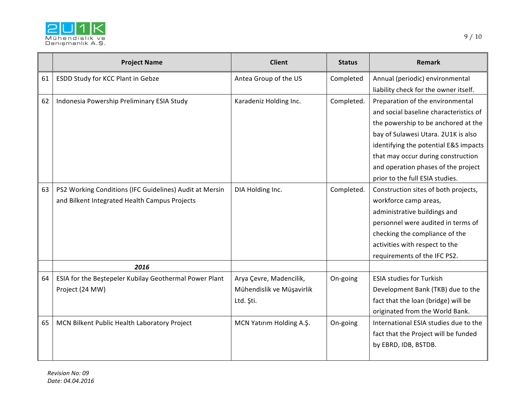

|    | <b>Project Name</b>                                     | <b>Client</b>             | <b>Status</b> | <b>Remark</b>                          |
|----|---------------------------------------------------------|---------------------------|---------------|----------------------------------------|
| 61 | ESDD Study for KCC Plant in Gebze                       | Antea Group of the US     | Completed     | Annual (periodic) environmental        |
|    |                                                         |                           |               | liability check for the owner itself.  |
| 62 | Indonesia Powership Preliminary ESIA Study              | Karadeniz Holding Inc.    | Completed.    | Preparation of the environmental       |
|    |                                                         |                           |               | and social baseline characteristics of |
|    |                                                         |                           |               | the powership to be anchored at the    |
|    |                                                         |                           |               | bay of Sulawesi Utara. 2U1K is also    |
|    |                                                         |                           |               | identifying the potential E&S impacts  |
|    |                                                         |                           |               | that may occur during construction     |
|    |                                                         |                           |               | and operation phases of the project    |
|    |                                                         |                           |               | prior to the full ESIA studies.        |
| 63 | PS2 Working Conditions (IFC Guidelines) Audit at Mersin | DIA Holding Inc.          | Completed.    | Construction sites of both projects,   |
|    | and Bilkent Integrated Health Campus Projects           |                           |               | workforce camp areas,                  |
|    |                                                         |                           |               | administrative buildings and           |
|    |                                                         |                           |               | personnel were audited in terms of     |
|    |                                                         |                           |               | checking the compliance of the         |
|    |                                                         |                           |               | activities with respect to the         |
|    |                                                         |                           |               | requirements of the IFC PS2.           |
|    | 2016                                                    |                           |               |                                        |
| 64 | ESIA for the Beştepeler Kubilay Geothermal Power Plant  | Arya Çevre, Madencilik,   | On-going      | <b>ESIA studies for Turkish</b>        |
|    | Project (24 MW)                                         | Mühendislik ve Müşavirlik |               | Development Bank (TKB) due to the      |
|    |                                                         | Ltd. Şti.                 |               | fact that the loan (bridge) will be    |
|    |                                                         |                           |               | originated from the World Bank.        |
| 65 | MCN Bilkent Public Health Laboratory Project            | MCN Yatırım Holding A.Ş.  | On-going      | International ESIA studies due to the  |
|    |                                                         |                           |               | fact that the Project will be funded   |
|    |                                                         |                           |               | by EBRD, IDB, BSTDB.                   |
|    |                                                         |                           |               |                                        |